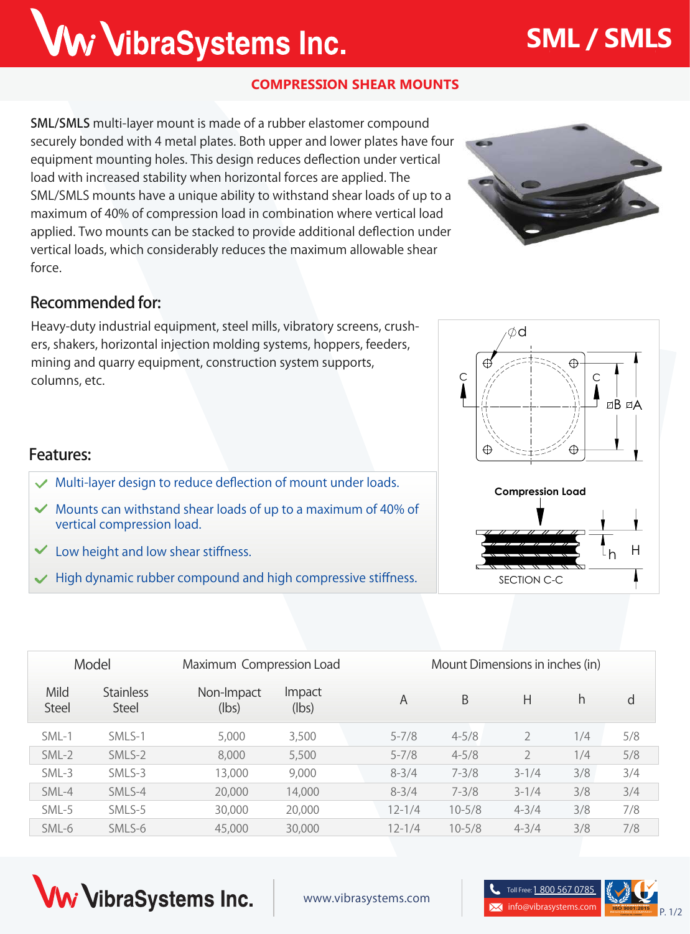## Ww VibraSystems Inc.

## **COMPRESSION SHEAR MOUNTS**

SML/SMLS multi-layer mount is made of a rubber elastomer compound securely bonded with 4 metal plates. Both upper and lower plates have four equipment mounting holes. This design reduces deflection under vertical load with increased stability when horizontal forces are applied. The SML/SMLS mounts have a unique ability to withstand shear loads of up to a maximum of 40% of compression load in combination where vertical load applied. Two mounts can be stacked to provide additional deflection under vertical loads, which considerably reduces the maximum allowable shear force.

## Recommended for:

Heavy-duty industrial equipment, steel mills, vibratory screens, crushers, shakers, horizontal injection molding systems, hoppers, feeders, mining and quarry equipment, construction system supports, columns, etc.

### Features:

- **Multi-layer design to reduce deflection of mount under loads.**
- **Mounts can withstand shear loads of up to a maximum of 40% of vertical compression load.**
- **Low height and low shear stiffness.**  $\checkmark$
- **High dynamic rubber compound and high compressive stiffness.**











## **SML / SMLS**